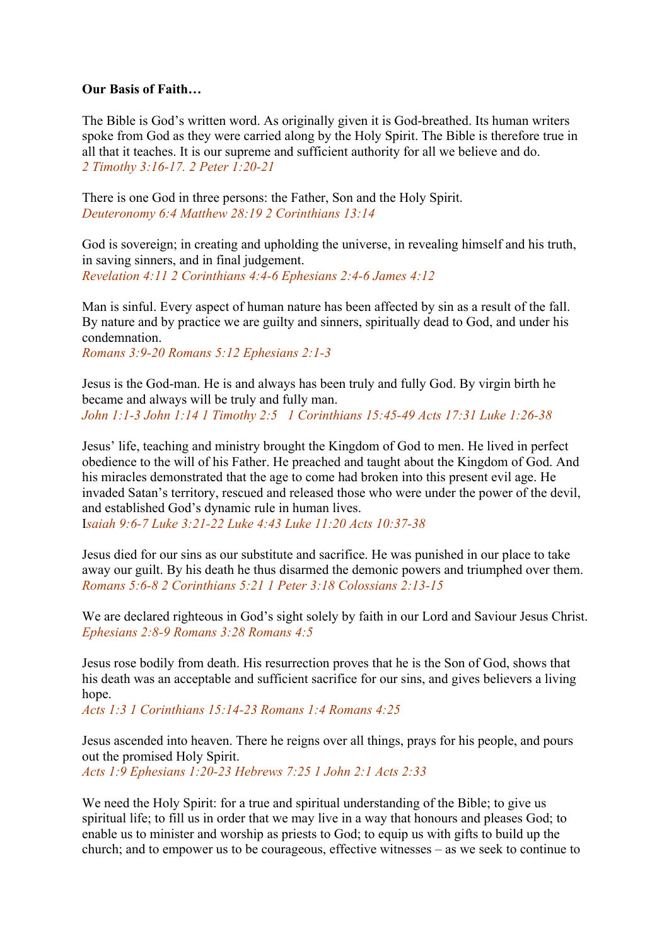## **Our Basis of Faith…**

The Bible is God's written word. As originally given it is God-breathed. Its human writers spoke from God as they were carried along by the Holy Spirit. The Bible is therefore true in all that it teaches. It is our supreme and sufficient authority for all we believe and do. *2 Timothy 3:16-17. 2 Peter 1:20-21*

There is one God in three persons: the Father, Son and the Holy Spirit. *Deuteronomy 6:4 Matthew 28:19 2 Corinthians 13:14*

God is sovereign; in creating and upholding the universe, in revealing himself and his truth, in saving sinners, and in final judgement. *Revelation 4:11 2 Corinthians 4:4-6 Ephesians 2:4-6 James 4:12*

Man is sinful. Every aspect of human nature has been affected by sin as a result of the fall. By nature and by practice we are guilty and sinners, spiritually dead to God, and under his condemnation.

*Romans 3:9-20 Romans 5:12 Ephesians 2:1-3*

Jesus is the God-man. He is and always has been truly and fully God. By virgin birth he became and always will be truly and fully man. *John 1:1-3 John 1:14 1 Timothy 2:5 1 Corinthians 15:45-49 Acts 17:31 Luke 1:26-38*

Jesus' life, teaching and ministry brought the Kingdom of God to men. He lived in perfect obedience to the will of his Father. He preached and taught about the Kingdom of God. And his miracles demonstrated that the age to come had broken into this present evil age. He invaded Satan's territory, rescued and released those who were under the power of the devil, and established God's dynamic rule in human lives.

I*saiah 9:6-7 Luke 3:21-22 Luke 4:43 Luke 11:20 Acts 10:37-38*

Jesus died for our sins as our substitute and sacrifice. He was punished in our place to take away our guilt. By his death he thus disarmed the demonic powers and triumphed over them. *Romans 5:6-8 2 Corinthians 5:21 1 Peter 3:18 Colossians 2:13-15*

We are declared righteous in God's sight solely by faith in our Lord and Saviour Jesus Christ. *Ephesians 2:8-9 Romans 3:28 Romans 4:5*

Jesus rose bodily from death. His resurrection proves that he is the Son of God, shows that his death was an acceptable and sufficient sacrifice for our sins, and gives believers a living hope.

*Acts 1:3 1 Corinthians 15:14-23 Romans 1:4 Romans 4:25*

Jesus ascended into heaven. There he reigns over all things, prays for his people, and pours out the promised Holy Spirit. *Acts 1:9 Ephesians 1:20-23 Hebrews 7:25 1 John 2:1 Acts 2:33*

We need the Holy Spirit: for a true and spiritual understanding of the Bible; to give us spiritual life; to fill us in order that we may live in a way that honours and pleases God; to enable us to minister and worship as priests to God; to equip us with gifts to build up the church; and to empower us to be courageous, effective witnesses – as we seek to continue to